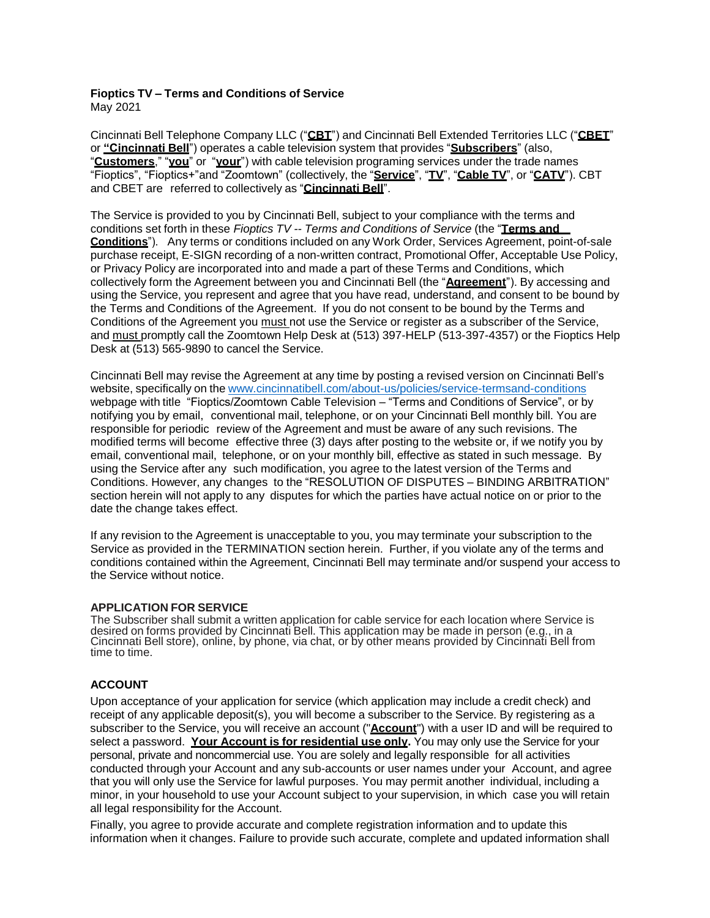# **Fioptics TV – Terms and Conditions of Service**

May 2021

Cincinnati Bell Telephone Company LLC ("**CBT**") and Cincinnati Bell Extended Territories LLC ("**CBET**" or **"Cincinnati Bell**") operates a cable television system that provides "**Subscribers**" (also, "**Customers**," "**you**" or "**your**") with cable television programing services under the trade names "Fioptics", "Fioptics+"and "Zoomtown" (collectively, the "**Service**", "**TV**", "**Cable TV**", or "**CATV**"). CBT and CBET are referred to collectively as "**Cincinnati Bell**".

The Service is provided to you by Cincinnati Bell, subject to your compliance with the terms and conditions set forth in these *Fioptics TV -- Terms and Conditions of Service* (the "**Terms and Conditions**"). Any terms or conditions included on any Work Order, Services Agreement, point-of-sale purchase receipt, E-SIGN recording of a non-written contract, Promotional Offer, Acceptable Use Policy, or Privacy Policy are incorporated into and made a part of these Terms and Conditions, which collectively form the Agreement between you and Cincinnati Bell (the "**Agreement**"). By accessing and using the Service, you represent and agree that you have read, understand, and consent to be bound by the Terms and Conditions of the Agreement. If you do not consent to be bound by the Terms and Conditions of the Agreement you must not use the Service or register as a subscriber of the Service, and must promptly call the Zoomtown Help Desk at (513) 397-HELP (513-397-4357) or the Fioptics Help Desk at (513) 565-9890 to cancel the Service.

Cincinnati Bell may revise the Agreement at any time by posting a revised version on Cincinnati Bell's website, specifically on the [www.cincinnatibell.com/about-us/policies/service-termsand-conditions](http://www.cincinnatibell.com/about-us/policies/service-termsand-conditions) webpage with title "Fioptics/Zoomtown Cable Television – "Terms and Conditions of Service", or by notifying you by email, conventional mail, telephone, or on your Cincinnati Bell monthly bill. You are responsible for periodic review of the Agreement and must be aware of any such revisions. The modified terms will become effective three (3) days after posting to the website or, if we notify you by email, conventional mail, telephone, or on your monthly bill, effective as stated in such message. By using the Service after any such modification, you agree to the latest version of the Terms and Conditions. However, any changes to the "RESOLUTION OF DISPUTES – BINDING ARBITRATION" section herein will not apply to any disputes for which the parties have actual notice on or prior to the date the change takes effect.

If any revision to the Agreement is unacceptable to you, you may terminate your subscription to the Service as provided in the TERMINATION section herein. Further, if you violate any of the terms and conditions contained within the Agreement, Cincinnati Bell may terminate and/or suspend your access to the Service without notice.

# **APPLICATION FOR SERVICE**

The Subscriber shall submit a written application for cable service for each location where Service is desired on forms provided by Cincinnati Bell. This application may be made in person (e.g., in a Cincinnati Bell store), online, by phone, via chat, or by other means provided by Cincinnati Bell from time to time.

# **ACCOUNT**

Upon acceptance of your application for service (which application may include a credit check) and receipt of any applicable deposit(s), you will become a subscriber to the Service. By registering as a subscriber to the Service, you will receive an account ("**Account**") with a user ID and will be required to select a password. **Your Account is for residential use only.** You may only use the Service for your personal, private and noncommercial use. You are solely and legally responsible for all activities conducted through your Account and any sub-accounts or user names under your Account, and agree that you will only use the Service for lawful purposes. You may permit another individual, including a minor, in your household to use your Account subject to your supervision, in which case you will retain all legal responsibility for the Account.

Finally, you agree to provide accurate and complete registration information and to update this information when it changes. Failure to provide such accurate, complete and updated information shall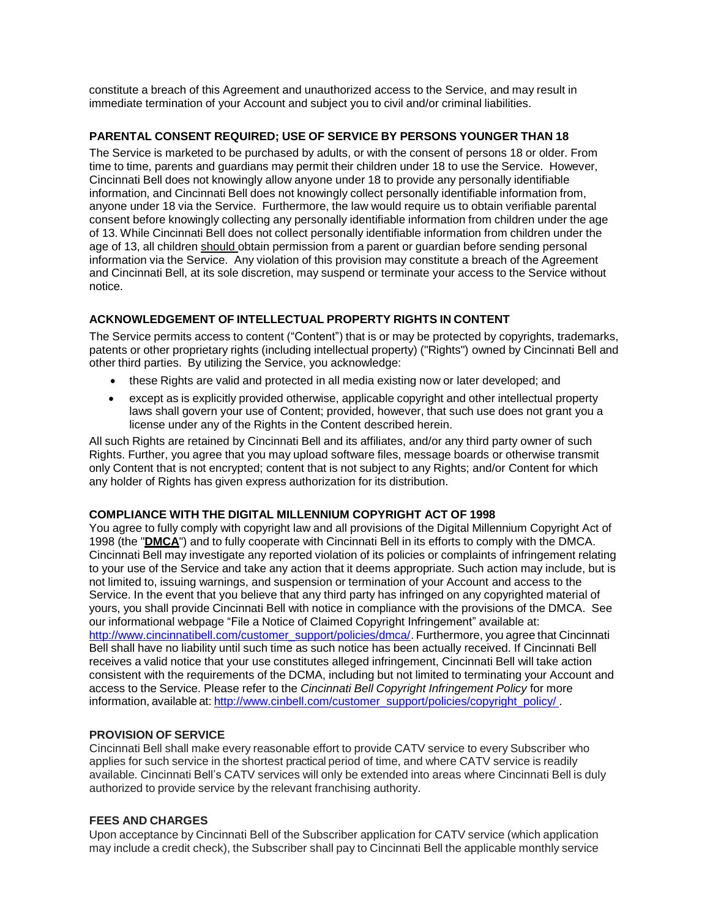constitute a breach of this Agreement and unauthorized access to the Service, and may result in immediate termination of your Account and subject you to civil and/or criminal liabilities.

# **PARENTAL CONSENT REQUIRED; USE OF SERVICE BY PERSONS YOUNGER THAN 18**

The Service is marketed to be purchased by adults, or with the consent of persons 18 or older. From time to time, parents and guardians may permit their children under 18 to use the Service. However, Cincinnati Bell does not knowingly allow anyone under 18 to provide any personally identifiable information, and Cincinnati Bell does not knowingly collect personally identifiable information from, anyone under 18 via the Service. Furthermore, the law would require us to obtain verifiable parental consent before knowingly collecting any personally identifiable information from children under the age of 13. While Cincinnati Bell does not collect personally identifiable information from children under the age of 13, all children should obtain permission from a parent or guardian before sending personal information via the Service. Any violation of this provision may constitute a breach of the Agreement and Cincinnati Bell, at its sole discretion, may suspend or terminate your access to the Service without notice.

# **ACKNOWLEDGEMENT OF INTELLECTUAL PROPERTY RIGHTS IN CONTENT**

The Service permits access to content ("Content") that is or may be protected by copyrights, trademarks, patents or other proprietary rights (including intellectual property) ("Rights") owned by Cincinnati Bell and other third parties. By utilizing the Service, you acknowledge:

- these Rights are valid and protected in all media existing now or later developed; and
- except as is explicitly provided otherwise, applicable copyright and other intellectual property laws shall govern your use of Content; provided, however, that such use does not grant you a license under any of the Rights in the Content described herein.

All such Rights are retained by Cincinnati Bell and its affiliates, and/or any third party owner of such Rights. Further, you agree that you may upload software files, message boards or otherwise transmit only Content that is not encrypted; content that is not subject to any Rights; and/or Content for which any holder of Rights has given express authorization for its distribution.

# **COMPLIANCE WITH THE DIGITAL MILLENNIUM COPYRIGHT ACT OF 1998**

You agree to fully comply with copyright law and all provisions of the Digital Millennium Copyright Act of 1998 (the "**DMCA**") and to fully cooperate with Cincinnati Bell in its efforts to comply with the DMCA. Cincinnati Bell may investigate any reported violation of its policies or complaints of infringement relating to your use of the Service and take any action that it deems appropriate. Such action may include, but is not limited to, issuing warnings, and suspension or termination of your Account and access to the Service. In the event that you believe that any third party has infringed on any copyrighted material of yours, you shall provide Cincinnati Bell with notice in compliance with the provisions of the DMCA. See our informational webpage "File a Notice of Claimed Copyright Infringement" available at: [http://www.cincinnatibell.com/customer\\_support/policies/dmca/.](http://www.cincinnatibell.com/customer_support/policies/dmca/) Furthermore, you agree that Cincinnati Bell shall have no liability until such time as such notice has been actually received. If Cincinnati Bell receives a valid notice that your use constitutes alleged infringement, Cincinnati Bell will take action consistent with the requirements of the DCMA, including but not limited to terminating your Account and access to the Service. Please refer to the *Cincinnati Bell Copyright Infringement Policy* for more information, available at: [http://www.cinbell.com/customer\\_support/policies/copyright\\_policy/](http://www.cinbell.com/customer_support/policies/copyright_policy/) .

# **PROVISION OF SERVICE**

Cincinnati Bell shall make every reasonable effort to provide CATV service to every Subscriber who applies for such service in the shortest practical period of time, and where CATV service is readily available. Cincinnati Bell's CATV services will only be extended into areas where Cincinnati Bell is duly authorized to provide service by the relevant franchising authority.

### **FEES AND CHARGES**

Upon acceptance by Cincinnati Bell of the Subscriber application for CATV service (which application may include a credit check), the Subscriber shall pay to Cincinnati Bell the applicable monthly service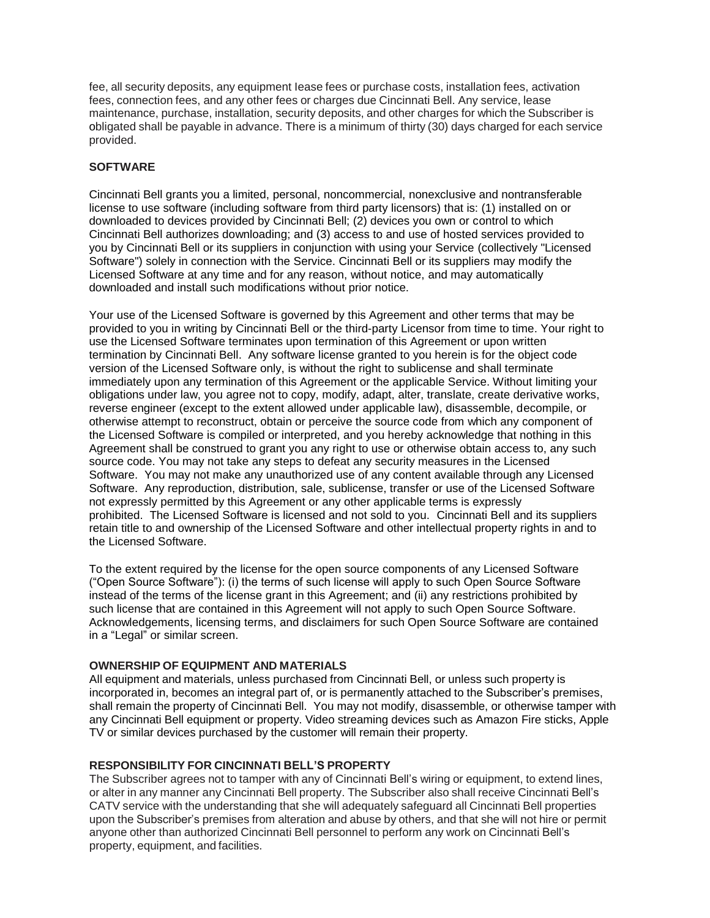fee, all security deposits, any equipment Iease fees or purchase costs, installation fees, activation fees, connection fees, and any other fees or charges due Cincinnati Bell. Any service, lease maintenance, purchase, installation, security deposits, and other charges for which the Subscriber is obligated shall be payable in advance. There is a minimum of thirty (30) days charged for each service provided.

# **SOFTWARE**

Cincinnati Bell grants you a limited, personal, noncommercial, nonexclusive and nontransferable license to use software (including software from third party licensors) that is: (1) installed on or downloaded to devices provided by Cincinnati Bell; (2) devices you own or control to which Cincinnati Bell authorizes downloading; and (3) access to and use of hosted services provided to you by Cincinnati Bell or its suppliers in conjunction with using your Service (collectively "Licensed Software") solely in connection with the Service. Cincinnati Bell or its suppliers may modify the Licensed Software at any time and for any reason, without notice, and may automatically downloaded and install such modifications without prior notice.

Your use of the Licensed Software is governed by this Agreement and other terms that may be provided to you in writing by Cincinnati Bell or the third-party Licensor from time to time. Your right to use the Licensed Software terminates upon termination of this Agreement or upon written termination by Cincinnati Bell. Any software license granted to you herein is for the object code version of the Licensed Software only, is without the right to sublicense and shall terminate immediately upon any termination of this Agreement or the applicable Service. Without limiting your obligations under law, you agree not to copy, modify, adapt, alter, translate, create derivative works, reverse engineer (except to the extent allowed under applicable law), disassemble, decompile, or otherwise attempt to reconstruct, obtain or perceive the source code from which any component of the Licensed Software is compiled or interpreted, and you hereby acknowledge that nothing in this Agreement shall be construed to grant you any right to use or otherwise obtain access to, any such source code. You may not take any steps to defeat any security measures in the Licensed Software. You may not make any unauthorized use of any content available through any Licensed Software. Any reproduction, distribution, sale, sublicense, transfer or use of the Licensed Software not expressly permitted by this Agreement or any other applicable terms is expressly prohibited. The Licensed Software is licensed and not sold to you. Cincinnati Bell and its suppliers retain title to and ownership of the Licensed Software and other intellectual property rights in and to the Licensed Software.

To the extent required by the license for the open source components of any Licensed Software ("Open Source Software"): (i) the terms of such license will apply to such Open Source Software instead of the terms of the license grant in this Agreement; and (ii) any restrictions prohibited by such license that are contained in this Agreement will not apply to such Open Source Software. Acknowledgements, licensing terms, and disclaimers for such Open Source Software are contained in a "Legal" or similar screen.

### **OWNERSHIP OF EQUIPMENT AND MATERIALS**

All equipment and materials, unless purchased from Cincinnati Bell, or unless such property is incorporated in, becomes an integral part of, or is permanently attached to the Subscriber's premises, shall remain the property of Cincinnati Bell. You may not modify, disassemble, or otherwise tamper with any Cincinnati Bell equipment or property. Video streaming devices such as Amazon Fire sticks, Apple TV or similar devices purchased by the customer will remain their property.

### **RESPONSIBILITY FOR CINCINNATI BELL'S PROPERTY**

The Subscriber agrees not to tamper with any of Cincinnati Bell's wiring or equipment, to extend lines, or alter in any manner any Cincinnati Bell property. The Subscriber also shall receive Cincinnati Bell's CATV service with the understanding that she will adequately safeguard all Cincinnati Bell properties upon the Subscriber's premises from alteration and abuse by others, and that she will not hire or permit anyone other than authorized Cincinnati Bell personnel to perform any work on Cincinnati Bell's property, equipment, and facilities.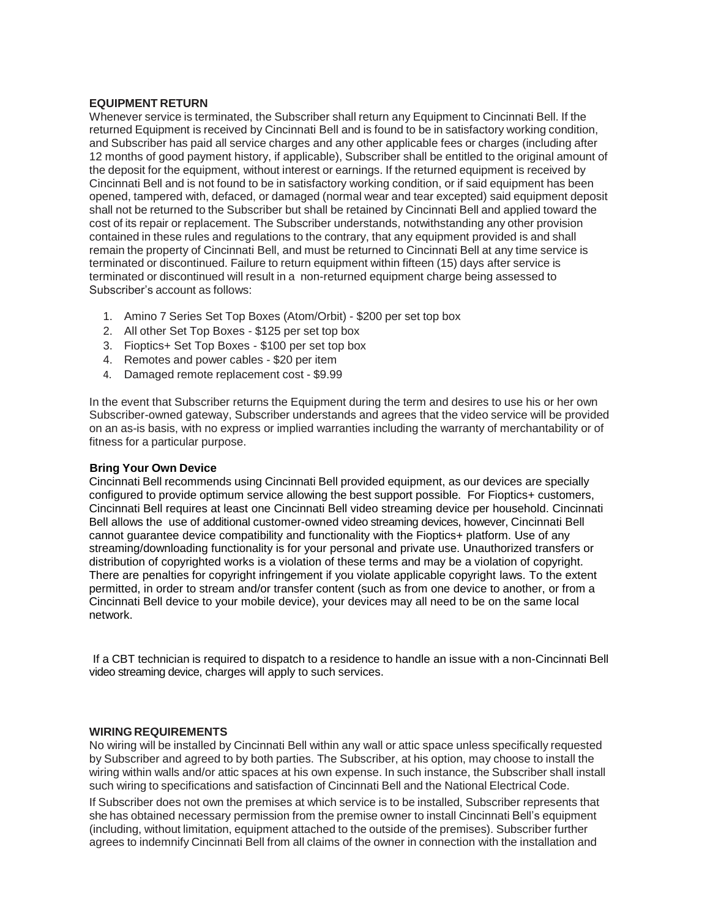### **EQUIPMENT RETURN**

Whenever service is terminated, the Subscriber shall return any Equipment to Cincinnati Bell. If the returned Equipment is received by Cincinnati Bell and is found to be in satisfactory working condition, and Subscriber has paid all service charges and any other applicable fees or charges (including after 12 months of good payment history, if applicable), Subscriber shall be entitled to the original amount of the deposit for the equipment, without interest or earnings. If the returned equipment is received by Cincinnati Bell and is not found to be in satisfactory working condition, or if said equipment has been opened, tampered with, defaced, or damaged (normal wear and tear excepted) said equipment deposit shall not be returned to the Subscriber but shall be retained by Cincinnati Bell and applied toward the cost of its repair or replacement. The Subscriber understands, notwithstanding any other provision contained in these rules and regulations to the contrary, that any equipment provided is and shall remain the property of Cincinnati Bell, and must be returned to Cincinnati Bell at any time service is terminated or discontinued. Failure to return equipment within fifteen (15) days after service is terminated or discontinued will result in a non-returned equipment charge being assessed to Subscriber's account as follows:

- 1. Amino 7 Series Set Top Boxes (Atom/Orbit) \$200 per set top box
- 2. All other Set Top Boxes \$125 per set top box
- 3. Fioptics+ Set Top Boxes \$100 per set top box
- 4. Remotes and power cables \$20 per item
- 4. Damaged remote replacement cost \$9.99

In the event that Subscriber returns the Equipment during the term and desires to use his or her own Subscriber-owned gateway, Subscriber understands and agrees that the video service will be provided on an as-is basis, with no express or implied warranties including the warranty of merchantability or of fitness for a particular purpose.

### **Bring Your Own Device**

Cincinnati Bell recommends using Cincinnati Bell provided equipment, as our devices are specially configured to provide optimum service allowing the best support possible. For Fioptics+ customers, Cincinnati Bell requires at least one Cincinnati Bell video streaming device per household. Cincinnati Bell allows the use of additional customer-owned video streaming devices, however, Cincinnati Bell cannot guarantee device compatibility and functionality with the Fioptics+ platform. Use of any streaming/downloading functionality is for your personal and private use. Unauthorized transfers or distribution of copyrighted works is a violation of these terms and may be a violation of copyright. There are penalties for copyright infringement if you violate applicable copyright laws. To the extent permitted, in order to stream and/or transfer content (such as from one device to another, or from a Cincinnati Bell device to your mobile device), your devices may all need to be on the same local network.

If a CBT technician is required to dispatch to a residence to handle an issue with a non-Cincinnati Bell video streaming device, charges will apply to such services.

#### **WIRING REQUIREMENTS**

No wiring will be installed by Cincinnati Bell within any wall or attic space unless specifically requested by Subscriber and agreed to by both parties. The Subscriber, at his option, may choose to install the wiring within walls and/or attic spaces at his own expense. In such instance, the Subscriber shall install such wiring to specifications and satisfaction of Cincinnati Bell and the National Electrical Code.

If Subscriber does not own the premises at which service is to be installed, Subscriber represents that she has obtained necessary permission from the premise owner to install Cincinnati Bell's equipment (including, without limitation, equipment attached to the outside of the premises). Subscriber further agrees to indemnify Cincinnati Bell from all claims of the owner in connection with the installation and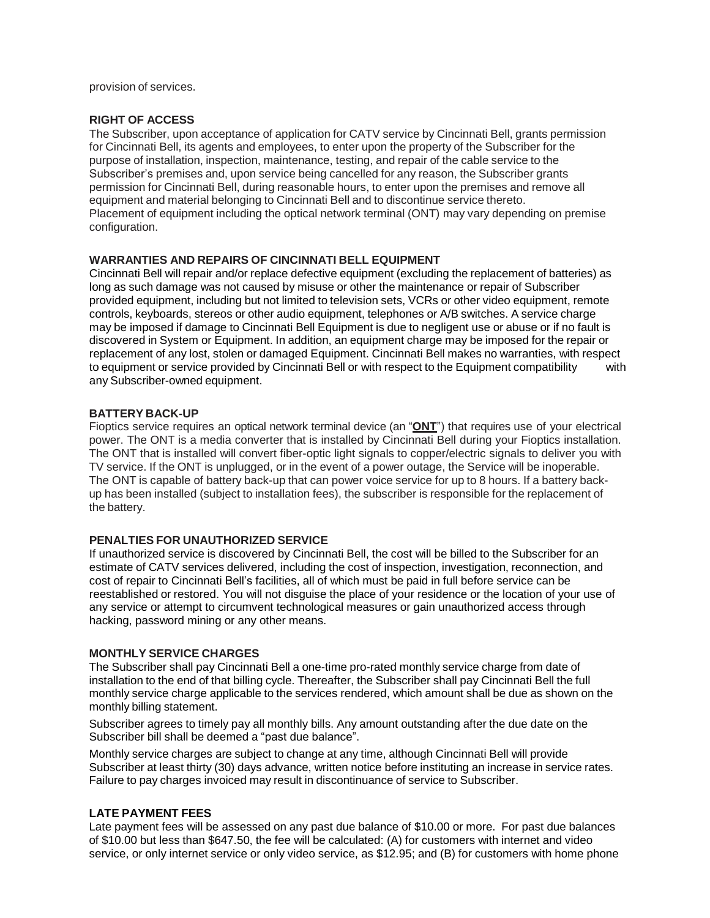provision of services.

### **RIGHT OF ACCESS**

The Subscriber, upon acceptance of application for CATV service by Cincinnati Bell, grants permission for Cincinnati Bell, its agents and employees, to enter upon the property of the Subscriber for the purpose of installation, inspection, maintenance, testing, and repair of the cable service to the Subscriber's premises and, upon service being cancelled for any reason, the Subscriber grants permission for Cincinnati Bell, during reasonable hours, to enter upon the premises and remove all equipment and material belonging to Cincinnati Bell and to discontinue service thereto. Placement of equipment including the optical network terminal (ONT) may vary depending on premise configuration.

# **WARRANTIES AND REPAIRS OF CINCINNATI BELL EQUIPMENT**

Cincinnati Bell will repair and/or replace defective equipment (excluding the replacement of batteries) as long as such damage was not caused by misuse or other the maintenance or repair of Subscriber provided equipment, including but not limited to television sets, VCRs or other video equipment, remote controls, keyboards, stereos or other audio equipment, telephones or A/B switches. A service charge may be imposed if damage to Cincinnati Bell Equipment is due to negligent use or abuse or if no fault is discovered in System or Equipment. In addition, an equipment charge may be imposed for the repair or replacement of any lost, stolen or damaged Equipment. Cincinnati Bell makes no warranties, with respect to equipment or service provided by Cincinnati Bell or with respect to the Equipment compatibility with any Subscriber-owned equipment.

# **BATTERY BACK-UP**

Fioptics service requires an optical network terminal device (an "**ONT**") that requires use of your electrical power. The ONT is a media converter that is installed by Cincinnati Bell during your Fioptics installation. The ONT that is installed will convert fiber-optic light signals to copper/electric signals to deliver you with TV service. If the ONT is unplugged, or in the event of a power outage, the Service will be inoperable. The ONT is capable of battery back-up that can power voice service for up to 8 hours. If a battery backup has been installed (subject to installation fees), the subscriber is responsible for the replacement of the battery.

### **PENALTIES FOR UNAUTHORIZED SERVICE**

If unauthorized service is discovered by Cincinnati Bell, the cost will be billed to the Subscriber for an estimate of CATV services delivered, including the cost of inspection, investigation, reconnection, and cost of repair to Cincinnati Bell's facilities, all of which must be paid in full before service can be reestablished or restored. You will not disguise the place of your residence or the location of your use of any service or attempt to circumvent technological measures or gain unauthorized access through hacking, password mining or any other means.

### **MONTHLY SERVICE CHARGES**

The Subscriber shall pay Cincinnati Bell a one-time pro-rated monthly service charge from date of installation to the end of that billing cycle. Thereafter, the Subscriber shall pay Cincinnati Bell the full monthly service charge applicable to the services rendered, which amount shall be due as shown on the monthly billing statement.

Subscriber agrees to timely pay all monthly bills. Any amount outstanding after the due date on the Subscriber bill shall be deemed a "past due balance".

Monthly service charges are subject to change at any time, although Cincinnati Bell will provide Subscriber at least thirty (30) days advance, written notice before instituting an increase in service rates. Failure to pay charges invoiced may result in discontinuance of service to Subscriber.

### **LATE PAYMENT FEES**

Late payment fees will be assessed on any past due balance of \$10.00 or more. For past due balances of \$10.00 but less than \$647.50, the fee will be calculated: (A) for customers with internet and video service, or only internet service or only video service, as \$12.95; and (B) for customers with home phone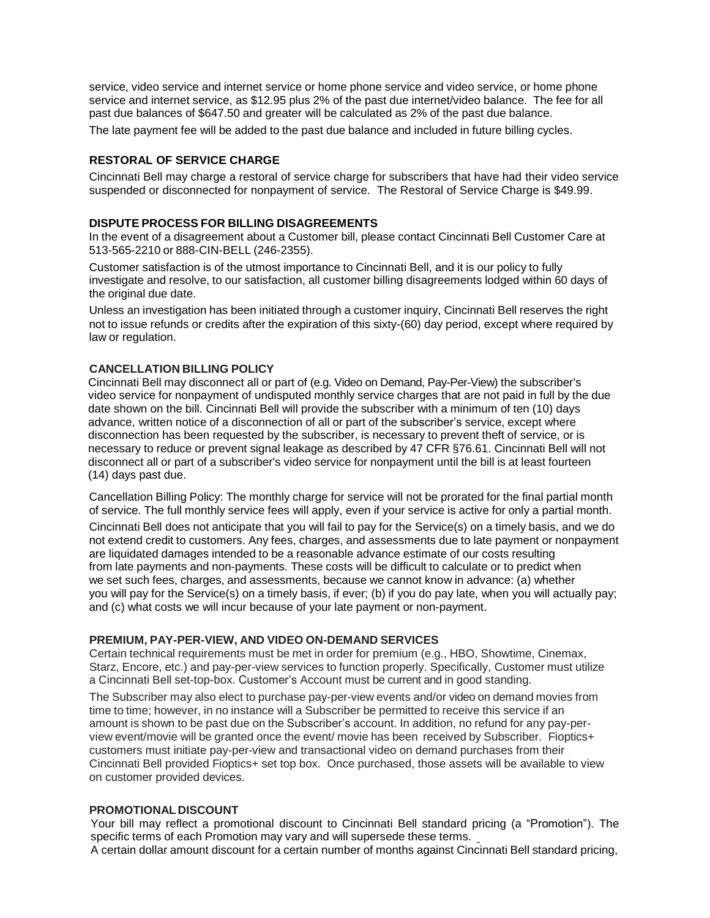service, video service and internet service or home phone service and video service, or home phone service and internet service, as \$12.95 plus 2% of the past due internet/video balance. The fee for all past due balances of \$647.50 and greater will be calculated as 2% of the past due balance.

The late payment fee will be added to the past due balance and included in future billing cycles.

# **RESTORAL OF SERVICE CHARGE**

Cincinnati Bell may charge a restoral of service charge for subscribers that have had their video service suspended or disconnected for nonpayment of service. The Restoral of Service Charge is \$49.99.

#### **DISPUTE PROCESS FOR BILLING DISAGREEMENTS**

In the event of a disagreement about a Customer bill, please contact Cincinnati Bell Customer Care at 513-565-2210 or 888-CIN-BELL (246-2355).

Customer satisfaction is of the utmost importance to Cincinnati Bell, and it is our policy to fully investigate and resolve, to our satisfaction, all customer billing disagreements lodged within 60 days of the original due date.

Unless an investigation has been initiated through a customer inquiry, Cincinnati Bell reserves the right not to issue refunds or credits after the expiration of this sixty-(60) day period, except where required by law or regulation.

#### **CANCELLATION BILLING POLICY**

Cincinnati Bell may disconnect all or part of (e.g. Video on Demand, Pay-Per-View) the subscriber's video service for nonpayment of undisputed monthly service charges that are not paid in full by the due date shown on the bill. Cincinnati Bell will provide the subscriber with a minimum of ten (10) days advance, written notice of a disconnection of all or part of the subscriber's service, except where disconnection has been requested by the subscriber, is necessary to prevent theft of service, or is necessary to reduce or prevent signal leakage as described by 47 CFR §76.61. Cincinnati Bell will not disconnect all or part of a subscriber's video service for nonpayment until the bill is at least fourteen (14) days past due.

Cancellation Billing Policy: The monthly charge for service will not be prorated for the final partial month of service. The full monthly service fees will apply, even if your service is active for only a partial month.

Cincinnati Bell does not anticipate that you will fail to pay for the Service(s) on a timely basis, and we do not extend credit to customers. Any fees, charges, and assessments due to late payment or nonpayment are liquidated damages intended to be a reasonable advance estimate of our costs resulting from late payments and non-payments. These costs will be difficult to calculate or to predict when we set such fees, charges, and assessments, because we cannot know in advance: (a) whether you will pay for the Service(s) on a timely basis, if ever; (b) if you do pay late, when you will actually pay; and (c) what costs we will incur because of your late payment or non-payment.

#### **PREMIUM, PAY-PER-VIEW, AND VIDEO ON-DEMAND SERVICES**

Certain technical requirements must be met in order for premium (e.g., HBO, Showtime, Cinemax, Starz, Encore, etc.) and pay-per-view services to function properly. Specifically, Customer must utilize a Cincinnati Bell set-top-box. Customer's Account must be current and in good standing.

The Subscriber may also elect to purchase pay-per-view events and/or video on demand movies from time to time; however, in no instance will a Subscriber be permitted to receive this service if an amount is shown to be past due on the Subscriber's account. In addition, no refund for any pay-perview event/movie will be granted once the event/ movie has been received by Subscriber. Fioptics+ customers must initiate pay-per-view and transactional video on demand purchases from their Cincinnati Bell provided Fioptics+ set top box. Once purchased, those assets will be available to view on customer provided devices.

### **PROMOTIONAL DISCOUNT**

Your bill may reflect a promotional discount to Cincinnati Bell standard pricing (a "Promotion"). The specific terms of each Promotion may vary and will supersede these terms. A certain dollar amount discount for a certain number of months against Cincinnati Bell standard pricing,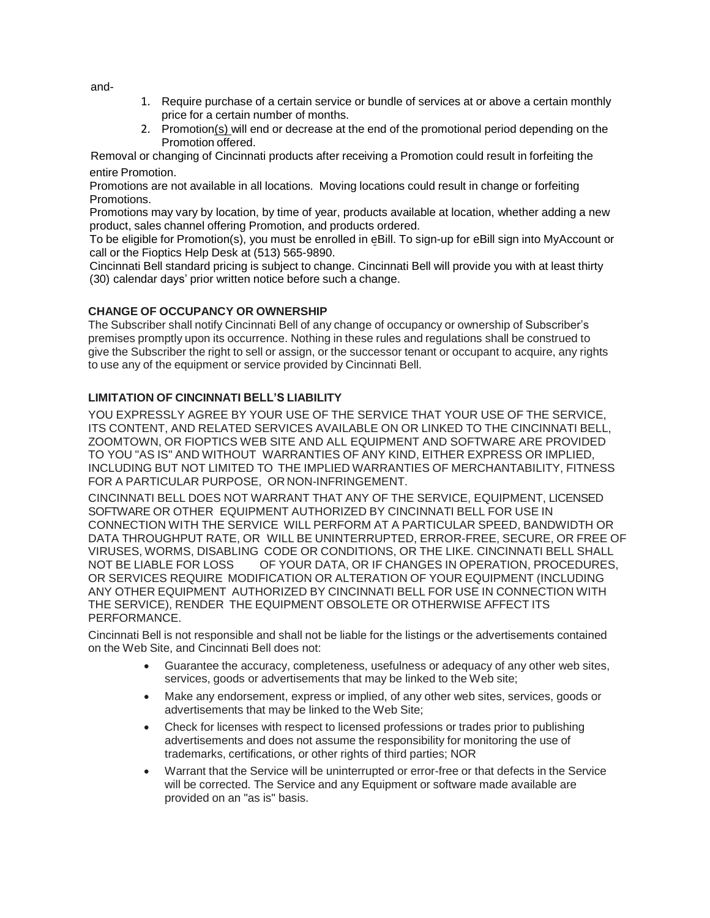and-

- 1. Require purchase of a certain service or bundle of services at or above a certain monthly price for a certain number of months.
- 2. Promotion(s) will end or decrease at the end of the promotional period depending on the Promotion offered.

Removal or changing of Cincinnati products after receiving a Promotion could result in forfeiting the entire Promotion.

Promotions are not available in all locations. Moving locations could result in change or forfeiting Promotions.

Promotions may vary by location, by time of year, products available at location, whether adding a new product, sales channel offering Promotion, and products ordered.

To be eligible for Promotion(s), you must be enrolled in eBill. To sign-up for eBill sign into MyAccount or call or the Fioptics Help Desk at (513) 565-9890.

Cincinnati Bell standard pricing is subject to change. Cincinnati Bell will provide you with at least thirty (30) calendar days' prior written notice before such a change.

# **CHANGE OF OCCUPANCY OR OWNERSHIP**

The Subscriber shall notify Cincinnati Bell of any change of occupancy or ownership of Subscriber's premises promptly upon its occurrence. Nothing in these rules and regulations shall be construed to give the Subscriber the right to sell or assign, or the successor tenant or occupant to acquire, any rights to use any of the equipment or service provided by Cincinnati Bell.

# **LIMITATION OF CINCINNATI BELL'S LIABILITY**

YOU EXPRESSLY AGREE BY YOUR USE OF THE SERVICE THAT YOUR USE OF THE SERVICE, ITS CONTENT, AND RELATED SERVICES AVAILABLE ON OR LINKED TO THE CINCINNATI BELL, ZOOMTOWN, OR FIOPTICS WEB SITE AND ALL EQUIPMENT AND SOFTWARE ARE PROVIDED TO YOU "AS IS" AND WITHOUT WARRANTIES OF ANY KIND, EITHER EXPRESS OR IMPLIED, INCLUDING BUT NOT LIMITED TO THE IMPLIED WARRANTIES OF MERCHANTABILITY, FITNESS FOR A PARTICULAR PURPOSE, OR NON-INFRINGEMENT.

CINCINNATI BELL DOES NOT WARRANT THAT ANY OF THE SERVICE, EQUIPMENT, LICENSED SOFTWARE OR OTHER EQUIPMENT AUTHORIZED BY CINCINNATI BELL FOR USE IN CONNECTION WITH THE SERVICE WILL PERFORM AT A PARTICULAR SPEED, BANDWIDTH OR DATA THROUGHPUT RATE, OR WILL BE UNINTERRUPTED, ERROR-FREE, SECURE, OR FREE OF VIRUSES, WORMS, DISABLING CODE OR CONDITIONS, OR THE LIKE. CINCINNATI BELL SHALL NOT BE LIABLE FOR LOSS OF YOUR DATA, OR IF CHANGES IN OPERATION, PROCEDURES, OR SERVICES REQUIRE MODIFICATION OR ALTERATION OF YOUR EQUIPMENT (INCLUDING ANY OTHER EQUIPMENT AUTHORIZED BY CINCINNATI BELL FOR USE IN CONNECTION WITH THE SERVICE), RENDER THE EQUIPMENT OBSOLETE OR OTHERWISE AFFECT ITS PERFORMANCE.

Cincinnati Bell is not responsible and shall not be liable for the listings or the advertisements contained on the Web Site, and Cincinnati Bell does not:

- Guarantee the accuracy, completeness, usefulness or adequacy of any other web sites, services, goods or advertisements that may be linked to the Web site;
- Make any endorsement, express or implied, of any other web sites, services, goods or advertisements that may be linked to the Web Site;
- Check for licenses with respect to licensed professions or trades prior to publishing advertisements and does not assume the responsibility for monitoring the use of trademarks, certifications, or other rights of third parties; NOR
- Warrant that the Service will be uninterrupted or error-free or that defects in the Service will be corrected. The Service and any Equipment or software made available are provided on an "as is" basis.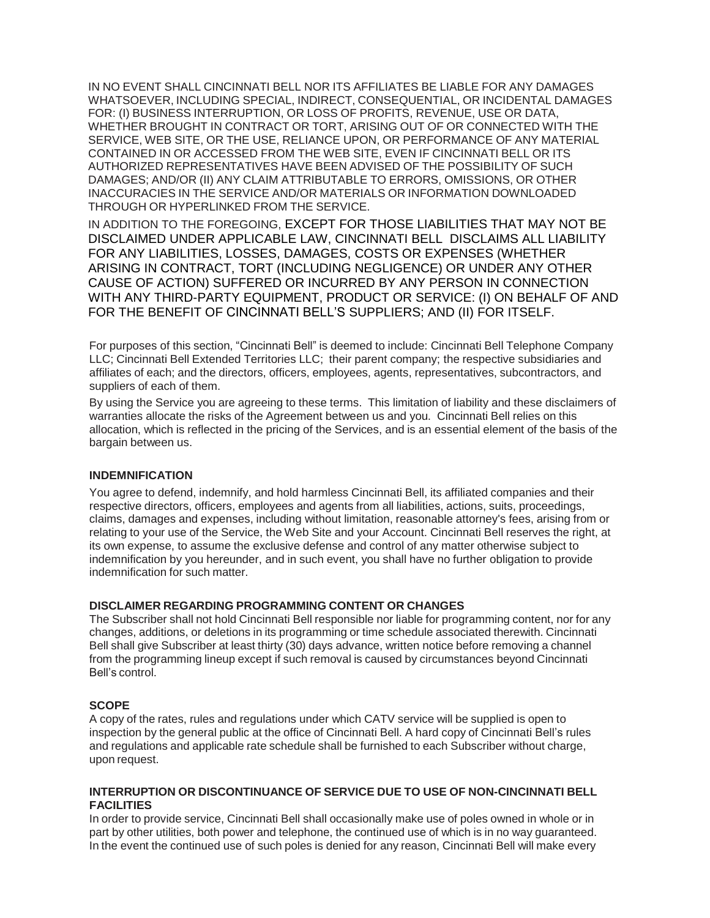IN NO EVENT SHALL CINCINNATI BELL NOR ITS AFFILIATES BE LIABLE FOR ANY DAMAGES WHATSOEVER, INCLUDING SPECIAL, INDIRECT, CONSEQUENTIAL, OR INCIDENTAL DAMAGES FOR: (I) BUSINESS INTERRUPTION, OR LOSS OF PROFITS, REVENUE, USE OR DATA, WHETHER BROUGHT IN CONTRACT OR TORT, ARISING OUT OF OR CONNECTED WITH THE SERVICE, WEB SITE, OR THE USE, RELIANCE UPON, OR PERFORMANCE OF ANY MATERIAL CONTAINED IN OR ACCESSED FROM THE WEB SITE, EVEN IF CINCINNATI BELL OR ITS AUTHORIZED REPRESENTATIVES HAVE BEEN ADVISED OF THE POSSIBILITY OF SUCH DAMAGES; AND/OR (II) ANY CLAIM ATTRIBUTABLE TO ERRORS, OMISSIONS, OR OTHER INACCURACIES IN THE SERVICE AND/OR MATERIALS OR INFORMATION DOWNLOADED THROUGH OR HYPERLINKED FROM THE SERVICE.

IN ADDITION TO THE FOREGOING, EXCEPT FOR THOSE LIABILITIES THAT MAY NOT BE DISCLAIMED UNDER APPLICABLE LAW, CINCINNATI BELL DISCLAIMS ALL LIABILITY FOR ANY LIABILITIES, LOSSES, DAMAGES, COSTS OR EXPENSES (WHETHER ARISING IN CONTRACT, TORT (INCLUDING NEGLIGENCE) OR UNDER ANY OTHER CAUSE OF ACTION) SUFFERED OR INCURRED BY ANY PERSON IN CONNECTION WITH ANY THIRD-PARTY EQUIPMENT, PRODUCT OR SERVICE: (I) ON BEHALF OF AND FOR THE BENEFIT OF CINCINNATI BELL'S SUPPLIERS; AND (II) FOR ITSELF.

For purposes of this section, "Cincinnati Bell" is deemed to include: Cincinnati Bell Telephone Company LLC; Cincinnati Bell Extended Territories LLC; their parent company; the respective subsidiaries and affiliates of each; and the directors, officers, employees, agents, representatives, subcontractors, and suppliers of each of them.

By using the Service you are agreeing to these terms. This limitation of liability and these disclaimers of warranties allocate the risks of the Agreement between us and you. Cincinnati Bell relies on this allocation, which is reflected in the pricing of the Services, and is an essential element of the basis of the bargain between us.

### **INDEMNIFICATION**

You agree to defend, indemnify, and hold harmless Cincinnati Bell, its affiliated companies and their respective directors, officers, employees and agents from all liabilities, actions, suits, proceedings, claims, damages and expenses, including without limitation, reasonable attorney's fees, arising from or relating to your use of the Service, the Web Site and your Account. Cincinnati Bell reserves the right, at its own expense, to assume the exclusive defense and control of any matter otherwise subject to indemnification by you hereunder, and in such event, you shall have no further obligation to provide indemnification for such matter.

#### **DISCLAIMER REGARDING PROGRAMMING CONTENT OR CHANGES**

The Subscriber shall not hold Cincinnati Bell responsible nor liable for programming content, nor for any changes, additions, or deletions in its programming or time schedule associated therewith. Cincinnati Bell shall give Subscriber at least thirty (30) days advance, written notice before removing a channel from the programming lineup except if such removal is caused by circumstances beyond Cincinnati Bell's control.

### **SCOPE**

A copy of the rates, rules and regulations under which CATV service will be supplied is open to inspection by the general public at the office of Cincinnati Bell. A hard copy of Cincinnati Bell's rules and regulations and applicable rate schedule shall be furnished to each Subscriber without charge, upon request.

### **INTERRUPTION OR DISCONTINUANCE OF SERVICE DUE TO USE OF NON-CINCINNATI BELL FACILITIES**

In order to provide service, Cincinnati Bell shall occasionally make use of poles owned in whole or in part by other utilities, both power and telephone, the continued use of which is in no way guaranteed. In the event the continued use of such poles is denied for any reason, Cincinnati Bell will make every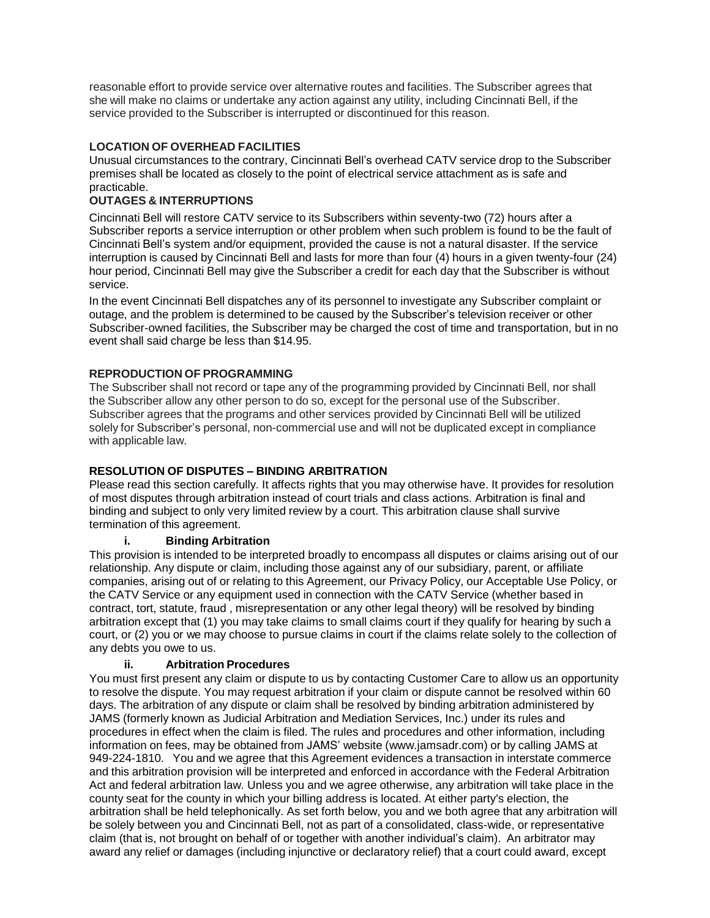reasonable effort to provide service over alternative routes and facilities. The Subscriber agrees that she will make no claims or undertake any action against any utility, including Cincinnati Bell, if the service provided to the Subscriber is interrupted or discontinued for this reason.

# **LOCATION OF OVERHEAD FACILITIES**

Unusual circumstances to the contrary, Cincinnati Bell's overhead CATV service drop to the Subscriber premises shall be located as closely to the point of electrical service attachment as is safe and practicable.

# **OUTAGES & INTERRUPTIONS**

Cincinnati Bell will restore CATV service to its Subscribers within seventy-two (72) hours after a Subscriber reports a service interruption or other problem when such problem is found to be the fault of Cincinnati Bell's system and/or equipment, provided the cause is not a natural disaster. If the service interruption is caused by Cincinnati Bell and lasts for more than four (4) hours in a given twenty-four (24) hour period, Cincinnati Bell may give the Subscriber a credit for each day that the Subscriber is without service.

In the event Cincinnati Bell dispatches any of its personnel to investigate any Subscriber complaint or outage, and the problem is determined to be caused by the Subscriber's television receiver or other Subscriber-owned facilities, the Subscriber may be charged the cost of time and transportation, but in no event shall said charge be less than \$14.95.

# **REPRODUCTION OF PROGRAMMING**

The Subscriber shall not record or tape any of the programming provided by Cincinnati Bell, nor shall the Subscriber allow any other person to do so, except for the personal use of the Subscriber. Subscriber agrees that the programs and other services provided by Cincinnati Bell will be utilized solely for Subscriber's personal, non-commercial use and will not be duplicated except in compliance with applicable law.

# **RESOLUTION OF DISPUTES – BINDING ARBITRATION**

Please read this section carefully. It affects rights that you may otherwise have. It provides for resolution of most disputes through arbitration instead of court trials and class actions. Arbitration is final and binding and subject to only very limited review by a court. This arbitration clause shall survive termination of this agreement.

### **i. Binding Arbitration**

This provision is intended to be interpreted broadly to encompass all disputes or claims arising out of our relationship. Any dispute or claim, including those against any of our subsidiary, parent, or affiliate companies, arising out of or relating to this Agreement, our Privacy Policy, our Acceptable Use Policy, or the CATV Service or any equipment used in connection with the CATV Service (whether based in contract, tort, statute, fraud , misrepresentation or any other legal theory) will be resolved by binding arbitration except that (1) you may take claims to small claims court if they qualify for hearing by such a court, or (2) you or we may choose to pursue claims in court if the claims relate solely to the collection of any debts you owe to us.

### **ii. Arbitration Procedures**

You must first present any claim or dispute to us by contacting Customer Care to allow us an opportunity to resolve the dispute. You may request arbitration if your claim or dispute cannot be resolved within 60 days. The arbitration of any dispute or claim shall be resolved by binding arbitration administered by JAMS (formerly known as Judicial Arbitration and Mediation Services, Inc.) under its rules and procedures in effect when the claim is filed. The rules and procedures and other information, including information on fees, may be obtained from JAMS' website [\(www.jamsadr.com\)](http://www.jamsadr.com/) or by calling JAMS at 949-224-1810. You and we agree that this Agreement evidences a transaction in interstate commerce and this arbitration provision will be interpreted and enforced in accordance with the Federal Arbitration Act and federal arbitration law. Unless you and we agree otherwise, any arbitration will take place in the county seat for the county in which your billing address is located. At either party's election, the arbitration shall be held telephonically. As set forth below, you and we both agree that any arbitration will be solely between you and Cincinnati Bell, not as part of a consolidated, class-wide, or representative claim (that is, not brought on behalf of or together with another individual's claim). An arbitrator may award any relief or damages (including injunctive or declaratory relief) that a court could award, except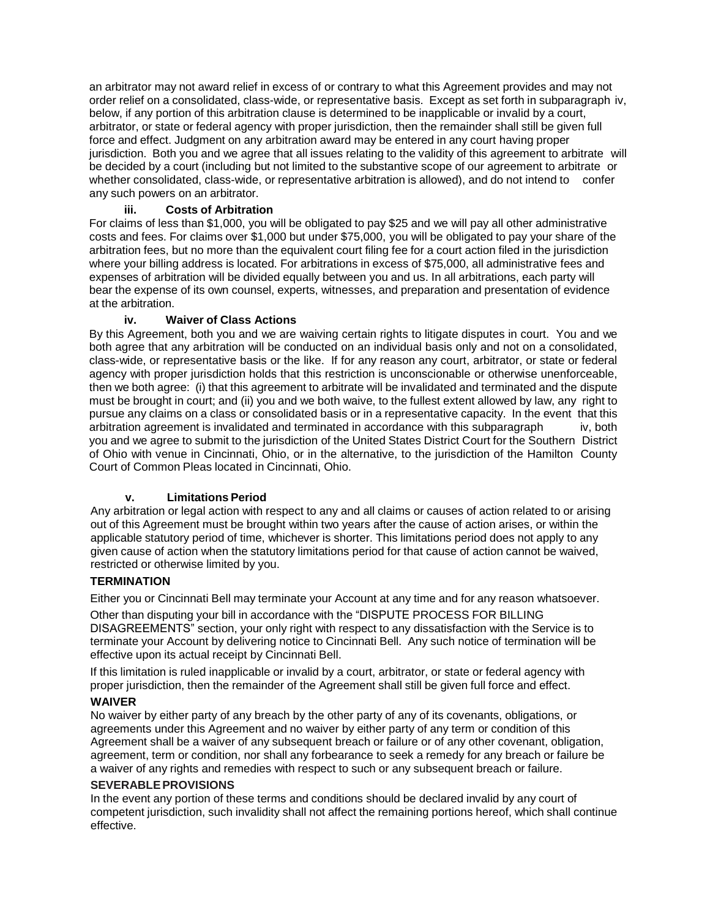an arbitrator may not award relief in excess of or contrary to what this Agreement provides and may not order relief on a consolidated, class-wide, or representative basis. Except as set forth in subparagraph iv, below, if any portion of this arbitration clause is determined to be inapplicable or invalid by a court, arbitrator, or state or federal agency with proper jurisdiction, then the remainder shall still be given full force and effect. Judgment on any arbitration award may be entered in any court having proper jurisdiction. Both you and we agree that all issues relating to the validity of this agreement to arbitrate will be decided by a court (including but not limited to the substantive scope of our agreement to arbitrate or whether consolidated, class-wide, or representative arbitration is allowed), and do not intend to confer any such powers on an arbitrator.

# **iii. Costs of Arbitration**

For claims of less than \$1,000, you will be obligated to pay \$25 and we will pay all other administrative costs and fees. For claims over \$1,000 but under \$75,000, you will be obligated to pay your share of the arbitration fees, but no more than the equivalent court filing fee for a court action filed in the jurisdiction where your billing address is located. For arbitrations in excess of \$75,000, all administrative fees and expenses of arbitration will be divided equally between you and us. In all arbitrations, each party will bear the expense of its own counsel, experts, witnesses, and preparation and presentation of evidence at the arbitration.

# **iv. Waiver of Class Actions**

By this Agreement, both you and we are waiving certain rights to litigate disputes in court. You and we both agree that any arbitration will be conducted on an individual basis only and not on a consolidated, class-wide, or representative basis or the like. If for any reason any court, arbitrator, or state or federal agency with proper jurisdiction holds that this restriction is unconscionable or otherwise unenforceable, then we both agree: (i) that this agreement to arbitrate will be invalidated and terminated and the dispute must be brought in court; and (ii) you and we both waive, to the fullest extent allowed by law, any right to pursue any claims on a class or consolidated basis or in a representative capacity. In the event that this arbitration agreement is invalidated and terminated in accordance with this subparagraph iv, both you and we agree to submit to the jurisdiction of the United States District Court for the Southern District of Ohio with venue in Cincinnati, Ohio, or in the alternative, to the jurisdiction of the Hamilton County Court of Common Pleas located in Cincinnati, Ohio.

# **v. Limitations Period**

Any arbitration or legal action with respect to any and all claims or causes of action related to or arising out of this Agreement must be brought within two years after the cause of action arises, or within the applicable statutory period of time, whichever is shorter. This limitations period does not apply to any given cause of action when the statutory limitations period for that cause of action cannot be waived, restricted or otherwise limited by you.

### **TERMINATION**

Either you or Cincinnati Bell may terminate your Account at any time and for any reason whatsoever.

Other than disputing your bill in accordance with the "DISPUTE PROCESS FOR BILLING DISAGREEMENTS" section, your only right with respect to any dissatisfaction with the Service is to terminate your Account by delivering notice to Cincinnati Bell. Any such notice of termination will be effective upon its actual receipt by Cincinnati Bell.

If this limitation is ruled inapplicable or invalid by a court, arbitrator, or state or federal agency with proper jurisdiction, then the remainder of the Agreement shall still be given full force and effect.

### **WAIVER**

No waiver by either party of any breach by the other party of any of its covenants, obligations, or agreements under this Agreement and no waiver by either party of any term or condition of this Agreement shall be a waiver of any subsequent breach or failure or of any other covenant, obligation, agreement, term or condition, nor shall any forbearance to seek a remedy for any breach or failure be a waiver of any rights and remedies with respect to such or any subsequent breach or failure.

### **SEVERABLEPROVISIONS**

In the event any portion of these terms and conditions should be declared invalid by any court of competent jurisdiction, such invalidity shall not affect the remaining portions hereof, which shall continue effective.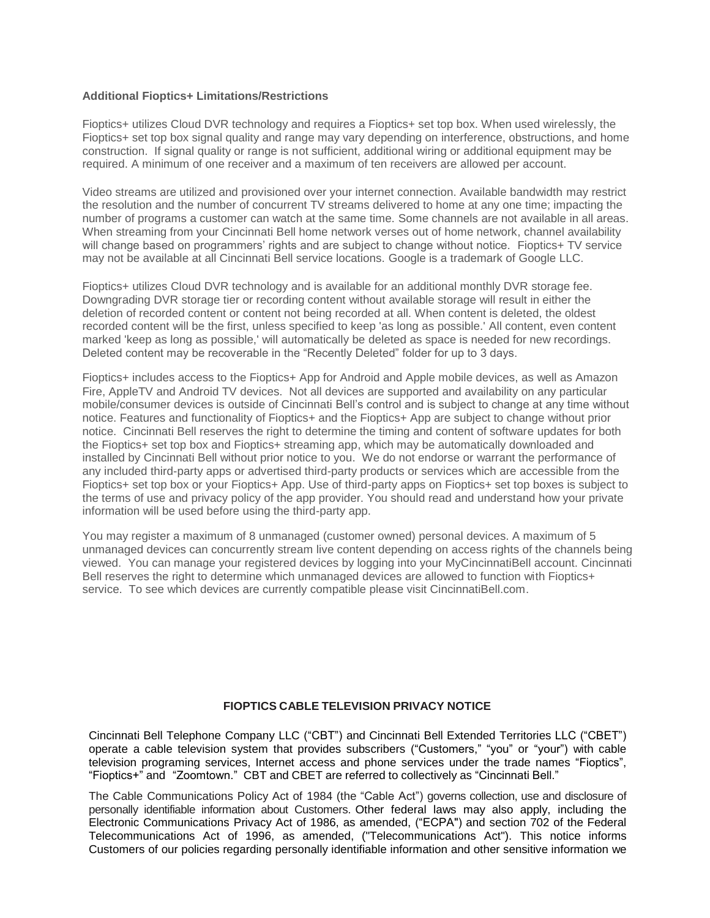### **Additional Fioptics+ Limitations/Restrictions**

Fioptics+ utilizes Cloud DVR technology and requires a Fioptics+ set top box. When used wirelessly, the Fioptics+ set top box signal quality and range may vary depending on interference, obstructions, and home construction. If signal quality or range is not sufficient, additional wiring or additional equipment may be required. A minimum of one receiver and a maximum of ten receivers are allowed per account.

Video streams are utilized and provisioned over your internet connection. Available bandwidth may restrict the resolution and the number of concurrent TV streams delivered to home at any one time; impacting the number of programs a customer can watch at the same time. Some channels are not available in all areas. When streaming from your Cincinnati Bell home network verses out of home network, channel availability will change based on programmers' rights and are subject to change without notice. Fioptics+ TV service may not be available at all Cincinnati Bell service locations. Google is a trademark of Google LLC.

Fioptics+ utilizes Cloud DVR technology and is available for an additional monthly DVR storage fee. Downgrading DVR storage tier or recording content without available storage will result in either the deletion of recorded content or content not being recorded at all. When content is deleted, the oldest recorded content will be the first, unless specified to keep 'as long as possible.' All content, even content marked 'keep as long as possible,' will automatically be deleted as space is needed for new recordings. Deleted content may be recoverable in the "Recently Deleted" folder for up to 3 days.

Fioptics+ includes access to the Fioptics+ App for Android and Apple mobile devices, as well as Amazon Fire, AppleTV and Android TV devices. Not all devices are supported and availability on any particular mobile/consumer devices is outside of Cincinnati Bell's control and is subject to change at any time without notice. Features and functionality of Fioptics+ and the Fioptics+ App are subject to change without prior notice. Cincinnati Bell reserves the right to determine the timing and content of software updates for both the Fioptics+ set top box and Fioptics+ streaming app, which may be automatically downloaded and installed by Cincinnati Bell without prior notice to you. We do not endorse or warrant the performance of any included third-party apps or advertised third-party products or services which are accessible from the Fioptics+ set top box or your Fioptics+ App. Use of third-party apps on Fioptics+ set top boxes is subject to the terms of use and privacy policy of the app provider. You should read and understand how your private information will be used before using the third-party app.

You may register a maximum of 8 unmanaged (customer owned) personal devices. A maximum of 5 unmanaged devices can concurrently stream live content depending on access rights of the channels being viewed. You can manage your registered devices by logging into your MyCincinnatiBell account. Cincinnati Bell reserves the right to determine which unmanaged devices are allowed to function with Fioptics+ service. To see which devices are currently compatible please visit CincinnatiBell.com.

### **FIOPTICS CABLE TELEVISION PRIVACY NOTICE**

Cincinnati Bell Telephone Company LLC ("CBT") and Cincinnati Bell Extended Territories LLC ("CBET") operate a cable television system that provides subscribers ("Customers," "you" or "your") with cable television programing services, Internet access and phone services under the trade names "Fioptics", "Fioptics+" and "Zoomtown." CBT and CBET are referred to collectively as "Cincinnati Bell."

The Cable Communications Policy Act of 1984 (the "Cable Act") governs collection, use and disclosure of personally identifiable information about Customers. Other federal laws may also apply, including the Electronic Communications Privacy Act of 1986, as amended, ("ECPA") and section 702 of the Federal Telecommunications Act of 1996, as amended, ("Telecommunications Act"). This notice informs Customers of our policies regarding personally identifiable information and other sensitive information we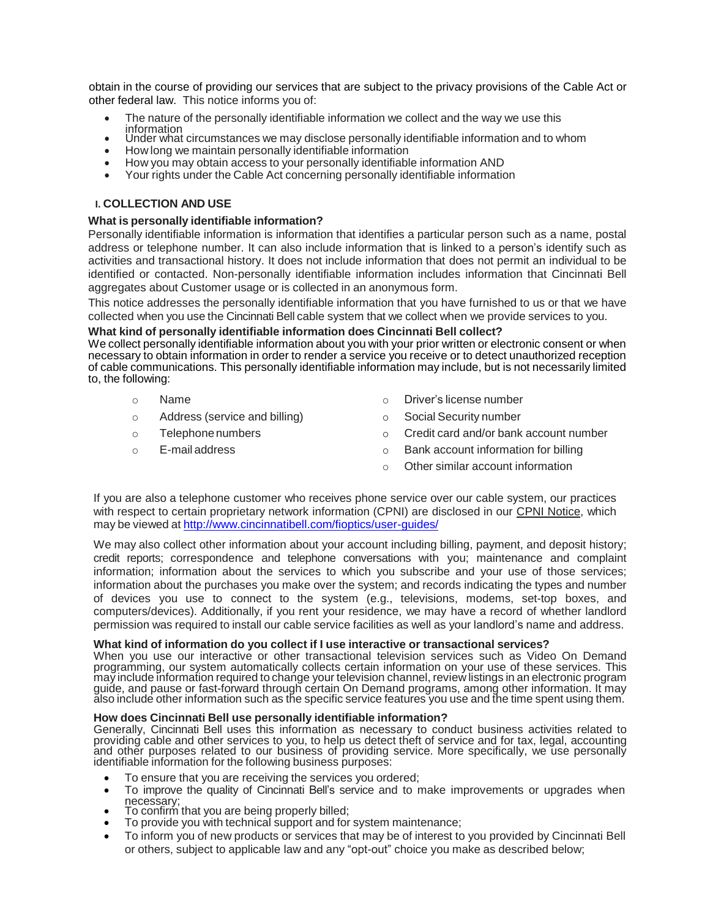obtain in the course of providing our services that are subject to the privacy provisions of the Cable Act or other federal law. This notice informs you of:

- The nature of the personally identifiable information we collect and the way we use this information
- Under what circumstances we may disclose personally identifiable information and to whom
- How long we maintain personally identifiable information
- How you may obtain access to your personally identifiable information AND
- Your rights under the Cable Act concerning personally identifiable information

### **I. COLLECTION AND USE**

#### **What is personally identifiable information?**

Personally identifiable information is information that identifies a particular person such as a name, postal address or telephone number. It can also include information that is linked to a person's identify such as activities and transactional history. It does not include information that does not permit an individual to be identified or contacted. Non-personally identifiable information includes information that Cincinnati Bell aggregates about Customer usage or is collected in an anonymous form.

This notice addresses the personally identifiable information that you have furnished to us or that we have collected when you use the Cincinnati Bell cable system that we collect when we provide services to you.

#### **What kind of personally identifiable information does Cincinnati Bell collect?**

We collect personally identifiable information about you with your prior written or electronic consent or when necessary to obtain information in order to render a service you receive or to detect unauthorized reception of cable communications. This personally identifiable information may include, but is not necessarily limited to, the following:

- o Name o Driver's license number
	-
- o Address (service and billing) o Social Security number
- $\circ$  Telephone numbers  $\circ$  Credit card and/or bank account number
- o E-mail address o Bank account information for billing
	- o Other similar account information

If you are also a telephone customer who receives phone service over our cable system, our practices with respect to certain proprietary network information (CPNI) are disclosed in our CPNI Notice, which may be viewed at <http://www.cincinnatibell.com/fioptics/user-guides/>

We may also collect other information about your account including billing, payment, and deposit history; credit reports; correspondence and telephone conversations with you; maintenance and complaint information; information about the services to which you subscribe and your use of those services; information about the purchases you make over the system; and records indicating the types and number of devices you use to connect to the system (e.g., televisions, modems, set-top boxes, and computers/devices). Additionally, if you rent your residence, we may have a record of whether landlord permission was required to install our cable service facilities as well as your landlord's name and address.

#### **What kind of information do you collect if I use interactive or transactional services?**

When you use our interactive or other transactional television services such as Video On Demand programming, our system automatically collects certain information on your use of these services. This may include information required to change your television channel, review listings in an electronic program guide, and pause or fast-forward through certain On Demand programs, among other information. It may also include other information such as the specific service features you use and the time spent using them.

#### **How does Cincinnati Bell use personally identifiable information?**

Generally, Cincinnati Bell uses this information as necessary to conduct business activities related to providing cable and other services to you, to help us detect theft of service and for tax, legal, accounting and other purposes related to our business of providing service. More specifically, we use personally identifiable information for the following business purposes:

- To ensure that you are receiving the services you ordered;
- To improve the quality of Cincinnati Bell's service and to make improvements or upgrades when necessary;
- To confirm that you are being properly billed;
- To provide you with technical support and for system maintenance;
- To inform you of new products or services that may be of interest to you provided by Cincinnati Bell or others, subject to applicable law and any "opt-out" choice you make as described below;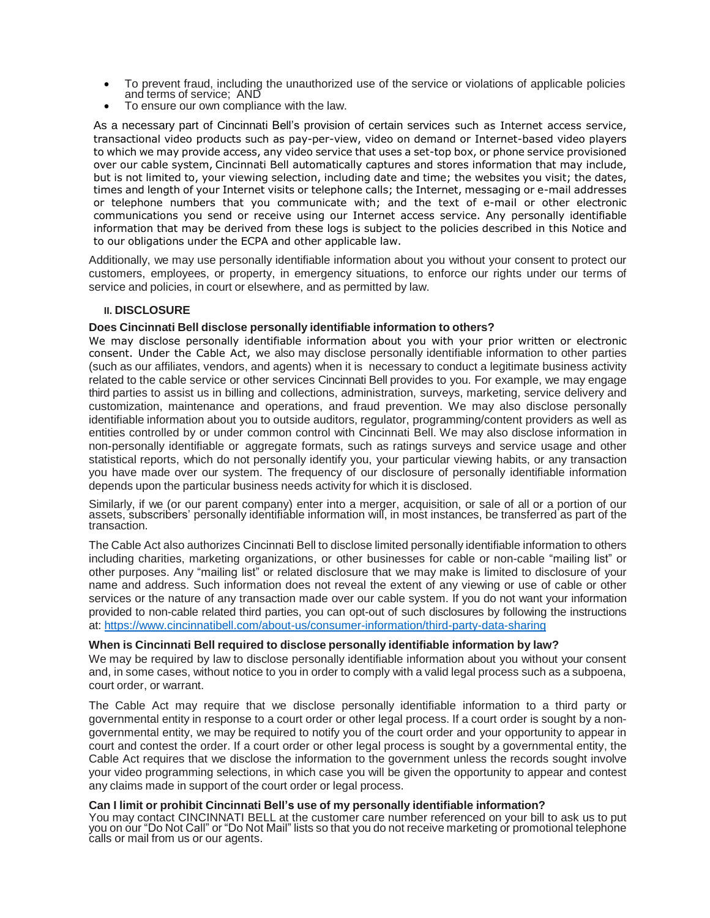- To prevent fraud, including the unauthorized use of the service or violations of applicable policies and terms of service; AND
- To ensure our own compliance with the law.

As a necessary part of Cincinnati Bell's provision of certain services such as Internet access service, transactional video products such as pay-per-view, video on demand or Internet-based video players to which we may provide access, any video service that uses a set-top box, or phone service provisioned over our cable system, Cincinnati Bell automatically captures and stores information that may include, but is not limited to, your viewing selection, including date and time; the websites you visit; the dates, times and length of your Internet visits or telephone calls; the Internet, messaging or e-mail addresses or telephone numbers that you communicate with; and the text of e-mail or other electronic communications you send or receive using our Internet access service. Any personally identifiable information that may be derived from these logs is subject to the policies described in this Notice and to our obligations under the ECPA and other applicable law.

Additionally, we may use personally identifiable information about you without your consent to protect our customers, employees, or property, in emergency situations, to enforce our rights under our terms of service and policies, in court or elsewhere, and as permitted by law.

### **II. DISCLOSURE**

# **Does Cincinnati Bell disclose personally identifiable information to others?**

We may disclose personally identifiable information about you with your prior written or electronic consent. Under the Cable Act, we also may disclose personally identifiable information to other parties (such as our affiliates, vendors, and agents) when it is necessary to conduct a legitimate business activity related to the cable service or other services Cincinnati Bell provides to you. For example, we may engage third parties to assist us in billing and collections, administration, surveys, marketing, service delivery and customization, maintenance and operations, and fraud prevention. We may also disclose personally identifiable information about you to outside auditors, regulator, programming/content providers as well as entities controlled by or under common control with Cincinnati Bell. We may also disclose information in non-personally identifiable or aggregate formats, such as ratings surveys and service usage and other statistical reports, which do not personally identify you, your particular viewing habits, or any transaction you have made over our system. The frequency of our disclosure of personally identifiable information depends upon the particular business needs activity for which it is disclosed.

Similarly, if we (or our parent company) enter into a merger, acquisition, or sale of all or a portion of our assets, subscribers' personally identifiable information will, in most instances, be transferred as part of the transaction.

The Cable Act also authorizes Cincinnati Bell to disclose limited personally identifiable information to others including charities, marketing organizations, or other businesses for cable or non-cable "mailing list" or other purposes. Any "mailing list" or related disclosure that we may make is limited to disclosure of your name and address. Such information does not reveal the extent of any viewing or use of cable or other services or the nature of any transaction made over our cable system. If you do not want your information provided to non-cable related third parties, you can opt-out of such disclosures by following the instructions at: <https://www.cincinnatibell.com/about-us/consumer-information/third-party-data-sharing>

### **When is Cincinnati Bell required to disclose personally identifiable information by law?**

We may be required by law to disclose personally identifiable information about you without your consent and, in some cases, without notice to you in order to comply with a valid legal process such as a subpoena, court order, or warrant.

The Cable Act may require that we disclose personally identifiable information to a third party or governmental entity in response to a court order or other legal process. If a court order is sought by a nongovernmental entity, we may be required to notify you of the court order and your opportunity to appear in court and contest the order. If a court order or other legal process is sought by a governmental entity, the Cable Act requires that we disclose the information to the government unless the records sought involve your video programming selections, in which case you will be given the opportunity to appear and contest any claims made in support of the court order or legal process.

#### **Can I limit or prohibit Cincinnati Bell's use of my personally identifiable information?**

You may contact CINCINNATI BELL at the customer care number referenced on your bill to ask us to put you on our "Do Not Call" or "Do Not Mail" lists so that you do not receive marketing or promotional telephone calls or mail from us or our agents.